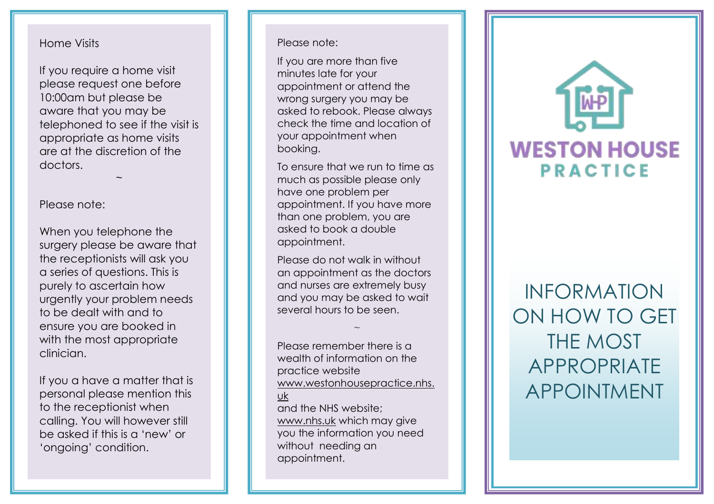## Home Visits

If you require a home visit please request one before 10:00am but please be aware that you may be telephoned to see if the visit is appropriate as home visits are at the discretion of the doctors.

 $\ddot{\phantom{0}}$ 

## Please note:

When you telephone the surgery please be aware that the receptionists will ask you a series of questions. This is purely to ascertain how urgently your problem needs to be dealt with and to ensure you are booked in with the most appropriate clinician.

If you a have a matter that is personal please mention this to the receptionist when calling. You will however still be asked if this is a 'new' or 'ongoing' condition.

## Please note:

If you are more than five minutes late for your appointment or attend the wrong surgery you may be asked to rebook. Please always check the time and location of your appointment when booking.

To ensure that we run to time as much as possible please only have one problem p er appointment. If you have more than one problem, you are asked to book a double appointment.

Please do not walk in without an appointment as the doctors and nurses are extremely busy and you may be asked to wait several hours to be seen.

~

Please remember there is a wealth of information on the practice website www.westonhousepractice.nhs. uk and the NHS website; [www.nhs.uk](http://www.nhs.uk/) which may give you the information you need without needing an appointment.



INFORMATION ON HOW TO GET THE MOST APPROPRIATE APPOINTMENT